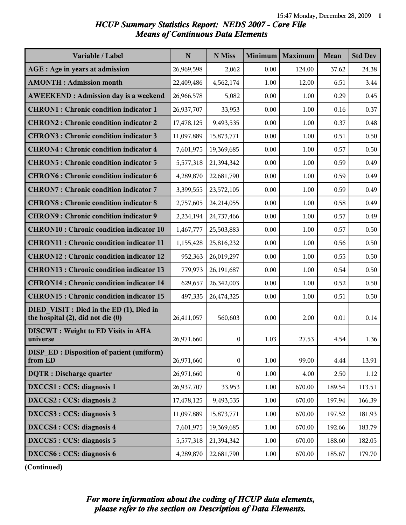# *HCUP Summary Statistics Report: NEDS 2007 - Core File Means of Continuous Data Elements*

| Variable / Label                                                              | N          | N Miss           | Minimum | Maximum | <b>Mean</b> | <b>Std Dev</b> |
|-------------------------------------------------------------------------------|------------|------------------|---------|---------|-------------|----------------|
| AGE : Age in years at admission                                               | 26,969,598 | 2,062            | 0.00    | 124.00  | 37.62       | 24.38          |
| <b>AMONTH: Admission month</b>                                                | 22,409,486 | 4,562,174        | 1.00    | 12.00   | 6.51        | 3.44           |
| <b>AWEEKEND: Admission day is a weekend</b>                                   | 26,966,578 | 5,082            | 0.00    | 1.00    | 0.29        | 0.45           |
| <b>CHRON1</b> : Chronic condition indicator 1                                 | 26,937,707 | 33,953           | 0.00    | 1.00    | 0.16        | 0.37           |
| <b>CHRON2: Chronic condition indicator 2</b>                                  | 17,478,125 | 9,493,535        | 0.00    | 1.00    | 0.37        | 0.48           |
| <b>CHRON3: Chronic condition indicator 3</b>                                  | 11,097,889 | 15,873,771       | 0.00    | 1.00    | 0.51        | 0.50           |
| <b>CHRON4: Chronic condition indicator 4</b>                                  | 7,601,975  | 19,369,685       | 0.00    | 1.00    | 0.57        | 0.50           |
| <b>CHRON5: Chronic condition indicator 5</b>                                  | 5,577,318  | 21,394,342       | 0.00    | 1.00    | 0.59        | 0.49           |
| <b>CHRON6: Chronic condition indicator 6</b>                                  | 4,289,870  | 22,681,790       | 0.00    | 1.00    | 0.59        | 0.49           |
| <b>CHRON7: Chronic condition indicator 7</b>                                  | 3,399,555  | 23,572,105       | 0.00    | 1.00    | 0.59        | 0.49           |
| <b>CHRON8: Chronic condition indicator 8</b>                                  | 2,757,605  | 24,214,055       | 0.00    | 1.00    | 0.58        | 0.49           |
| <b>CHRON9: Chronic condition indicator 9</b>                                  | 2,234,194  | 24,737,466       | 0.00    | 1.00    | 0.57        | 0.49           |
| <b>CHRON10: Chronic condition indicator 10</b>                                | 1,467,777  | 25,503,883       | 0.00    | 1.00    | 0.57        | 0.50           |
| <b>CHRON11: Chronic condition indicator 11</b>                                | 1,155,428  | 25,816,232       | 0.00    | 1.00    | 0.56        | 0.50           |
| <b>CHRON12: Chronic condition indicator 12</b>                                | 952,363    | 26,019,297       | 0.00    | 1.00    | 0.55        | 0.50           |
| <b>CHRON13: Chronic condition indicator 13</b>                                | 779,973    | 26,191,687       | 0.00    | 1.00    | 0.54        | 0.50           |
| <b>CHRON14 : Chronic condition indicator 14</b>                               | 629,657    | 26,342,003       | 0.00    | 1.00    | 0.52        | 0.50           |
| <b>CHRON15: Chronic condition indicator 15</b>                                | 497,335    | 26,474,325       | 0.00    | 1.00    | 0.51        | 0.50           |
| DIED VISIT : Died in the ED (1), Died in<br>the hospital (2), did not die (0) | 26,411,057 | 560,603          | 0.00    | 2.00    | 0.01        | 0.14           |
| <b>DISCWT</b> : Weight to ED Visits in AHA<br>universe                        | 26,971,660 | $\boldsymbol{0}$ | 1.03    | 27.53   | 4.54        | 1.36           |
| <b>DISP ED: Disposition of patient (uniform)</b><br>from ED                   | 26,971,660 | $\boldsymbol{0}$ | 1.00    | 99.00   | 4.44        | 13.91          |
| <b>DQTR</b> : Discharge quarter                                               | 26,971,660 | 0                | 1.00    | 4.00    | 2.50        | 1.12           |
| DXCCS1 : CCS: diagnosis 1                                                     | 26,937,707 | 33,953           | 1.00    | 670.00  | 189.54      | 113.51         |
| DXCCS2 : CCS: diagnosis 2                                                     | 17,478,125 | 9,493,535        | 1.00    | 670.00  | 197.94      | 166.39         |
| DXCCS3 : CCS: diagnosis 3                                                     | 11,097,889 | 15,873,771       | 1.00    | 670.00  | 197.52      | 181.93         |
| DXCCS4 : CCS: diagnosis 4                                                     | 7,601,975  | 19,369,685       | 1.00    | 670.00  | 192.66      | 183.79         |
| DXCCS5 : CCS: diagnosis 5                                                     | 5,577,318  | 21,394,342       | 1.00    | 670.00  | 188.60      | 182.05         |
| DXCCS6 : CCS: diagnosis 6                                                     | 4,289,870  | 22,681,790       | 1.00    | 670.00  | 185.67      | 179.70         |

**(Continued)**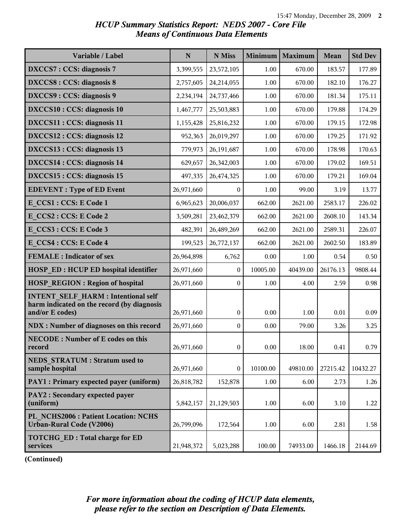# *HCUP Summary Statistics Report: NEDS 2007 - Core File Means of Continuous Data Elements*

| Variable / Label                                                                                           | $\mathbf N$ | N Miss           | Minimum  | Maximum  | Mean     | <b>Std Dev</b> |
|------------------------------------------------------------------------------------------------------------|-------------|------------------|----------|----------|----------|----------------|
| DXCCS7: CCS: diagnosis 7                                                                                   | 3,399,555   | 23,572,105       | 1.00     | 670.00   | 183.57   | 177.89         |
| <b>DXCCS8: CCS: diagnosis 8</b>                                                                            | 2,757,605   | 24,214,055       | 1.00     | 670.00   | 182.10   | 176.27         |
| DXCCS9: CCS: diagnosis 9                                                                                   | 2,234,194   | 24,737,466       | 1.00     | 670.00   | 181.34   | 175.11         |
| DXCCS10 : CCS: diagnosis 10                                                                                | 1,467,777   | 25,503,883       | 1.00     | 670.00   | 179.88   | 174.29         |
| DXCCS11 : CCS: diagnosis 11                                                                                | 1,155,428   | 25,816,232       | 1.00     | 670.00   | 179.15   | 172.98         |
| DXCCS12 : CCS: diagnosis 12                                                                                | 952,363     | 26,019,297       | 1.00     | 670.00   | 179.25   | 171.92         |
| DXCCS13 : CCS: diagnosis 13                                                                                | 779,973     | 26,191,687       | 1.00     | 670.00   | 178.98   | 170.63         |
| DXCCS14 : CCS: diagnosis 14                                                                                | 629,657     | 26,342,003       | 1.00     | 670.00   | 179.02   | 169.51         |
| DXCCS15 : CCS: diagnosis 15                                                                                | 497,335     | 26,474,325       | 1.00     | 670.00   | 179.21   | 169.04         |
| <b>EDEVENT</b> : Type of ED Event                                                                          | 26,971,660  | $\mathbf{0}$     | 1.00     | 99.00    | 3.19     | 13.77          |
| E CCS1 : CCS: E Code 1                                                                                     | 6,965,623   | 20,006,037       | 662.00   | 2621.00  | 2583.17  | 226.02         |
| E CCS2: CCS: E Code 2                                                                                      | 3,509,281   | 23,462,379       | 662.00   | 2621.00  | 2608.10  | 143.34         |
| E CCS3 : CCS: E Code 3                                                                                     | 482,391     | 26,489,269       | 662.00   | 2621.00  | 2589.31  | 226.07         |
| E CCS4 : CCS: E Code 4                                                                                     | 199,523     | 26,772,137       | 662.00   | 2621.00  | 2602.50  | 183.89         |
| <b>FEMALE</b> : Indicator of sex                                                                           | 26,964,898  | 6,762            | 0.00     | 1.00     | 0.54     | 0.50           |
| <b>HOSP ED: HCUP ED hospital identifier</b>                                                                | 26,971,660  | $\mathbf{0}$     | 10005.00 | 40439.00 | 26176.13 | 9808.44        |
| <b>HOSP REGION: Region of hospital</b>                                                                     | 26,971,660  | $\boldsymbol{0}$ | 1.00     | 4.00     | 2.59     | 0.98           |
| <b>INTENT SELF HARM: Intentional self</b><br>harm indicated on the record (by diagnosis<br>and/or E codes) | 26,971,660  | $\mathbf{0}$     | 0.00     | 1.00     | 0.01     | 0.09           |
| <b>NDX</b> : Number of diagnoses on this record                                                            | 26,971,660  | $\mathbf{0}$     | 0.00     | 79.00    | 3.26     | 3.25           |
| <b>NECODE: Number of E codes on this</b><br>record                                                         | 26,971,660  | $\overline{0}$   | 0.00     | 18.00    | 0.41     | 0.79           |
| <b>NEDS STRATUM: Stratum used to</b><br>sample hospital                                                    | 26,971,660  | $\boldsymbol{0}$ | 10100.00 | 49810.00 | 27215.42 | 10432.27       |
| PAY1 : Primary expected payer (uniform)                                                                    | 26,818,782  | 152,878          | 1.00     | 6.00     | 2.73     | 1.26           |
| PAY2 : Secondary expected payer<br>(uniform)                                                               | 5,842,157   | 21,129,503       | 1.00     | 6.00     | 3.10     | 1.22           |
| PL NCHS2006 : Patient Location: NCHS<br>Urban-Rural Code (V2006)                                           | 26,799,096  | 172,564          | 1.00     | 6.00     | 2.81     | 1.58           |
| <b>TOTCHG ED: Total charge for ED</b><br>services                                                          | 21,948,372  | 5,023,288        | 100.00   | 74933.00 | 1466.18  | 2144.69        |

**(Continued)**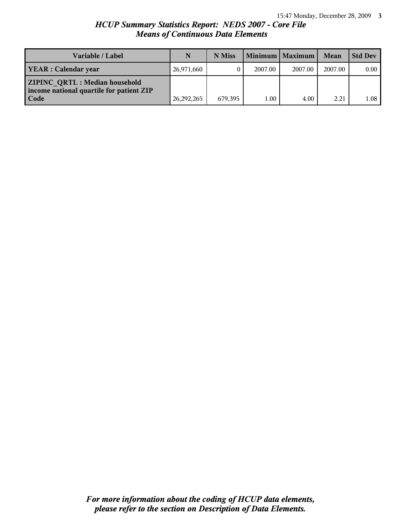# *HCUP Summary Statistics Report: NEDS 2007 - Core File Means of Continuous Data Elements*

| <b>Variable / Label</b>                                                                         | N          | N Miss  |         | Minimum   Maximum | Mean    | <b>Std Dev</b> |
|-------------------------------------------------------------------------------------------------|------------|---------|---------|-------------------|---------|----------------|
| <b>YEAR</b> : Calendar year                                                                     | 26,971,660 |         | 2007.00 | 2007.00           | 2007.00 | 0.00           |
| <b>ZIPINC QRTL: Median household</b><br>income national quartile for patient ZIP<br><b>Code</b> | 26,292,265 | 679.395 | L.00    | 4.00              | 2.21    | 1.08           |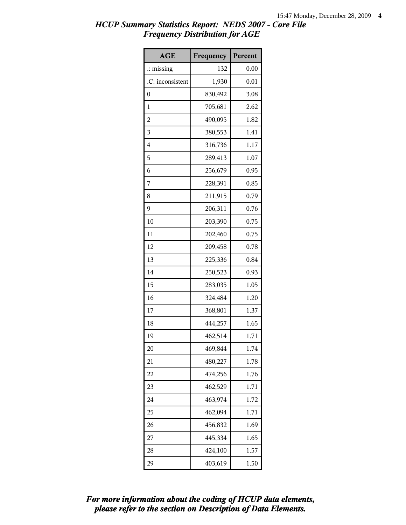| <b>AGE</b>           | Frequency | Percent |
|----------------------|-----------|---------|
| $\therefore$ missing | 132       | 0.00    |
| .C: inconsistent     | 1,930     | 0.01    |
| $\boldsymbol{0}$     | 830,492   | 3.08    |
| 1                    | 705,681   | 2.62    |
| $\overline{c}$       | 490,095   | 1.82    |
| 3                    | 380,553   | 1.41    |
| $\overline{4}$       | 316,736   | 1.17    |
| 5                    | 289,413   | 1.07    |
| 6                    | 256,679   | 0.95    |
| 7                    | 228,391   | 0.85    |
| 8                    | 211,915   | 0.79    |
| 9                    | 206,311   | 0.76    |
| 10                   | 203,390   | 0.75    |
| 11                   | 202,460   | 0.75    |
| 12                   | 209,458   | 0.78    |
| 13                   | 225,336   | 0.84    |
| 14                   | 250,523   | 0.93    |
| 15                   | 283,035   | 1.05    |
| 16                   | 324,484   | 1.20    |
| 17                   | 368,801   | 1.37    |
| 18                   | 444,257   | 1.65    |
| 19                   | 462,514   | 1.71    |
| 20                   | 469,844   | 1.74    |
| 21                   | 480,227   | 1.78    |
| 22                   | 474,256   | 1.76    |
| 23                   | 462,529   | 1.71    |
| 24                   | 463,974   | 1.72    |
| 25                   | 462,094   | 1.71    |
| 26                   | 456,832   | 1.69    |
| 27                   | 445,334   | 1.65    |
| 28                   | 424,100   | 1.57    |
| 29                   | 403,619   | 1.50    |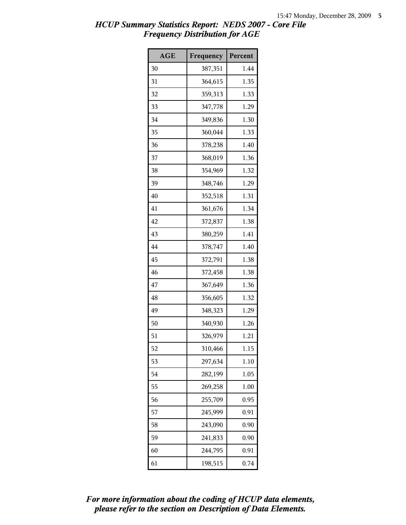| <b>AGE</b> | Frequency | Percent |
|------------|-----------|---------|
| 30         | 387,351   | 1.44    |
| 31         | 364,615   | 1.35    |
| 32         | 359,313   | 1.33    |
| 33         | 347,778   | 1.29    |
| 34         | 349,836   | 1.30    |
| 35         | 360,044   | 1.33    |
| 36         | 378,238   | 1.40    |
| 37         | 368,019   | 1.36    |
| 38         | 354,969   | 1.32    |
| 39         | 348,746   | 1.29    |
| 40         | 352,518   | 1.31    |
| 41         | 361,676   | 1.34    |
| 42         | 372,837   | 1.38    |
| 43         | 380,259   | 1.41    |
| 44         | 378,747   | 1.40    |
| 45         | 372,791   | 1.38    |
| 46         | 372,458   | 1.38    |
| 47         | 367,649   | 1.36    |
| 48         | 356,605   | 1.32    |
| 49         | 348,323   | 1.29    |
| 50         | 340,930   | 1.26    |
| 51         | 326,979   | 1.21    |
| 52         | 310,466   | 1.15    |
| 53         | 297,634   | 1.10    |
| 54         | 282,199   | 1.05    |
| 55         | 269,258   | 1.00    |
| 56         | 255,709   | 0.95    |
| 57         | 245,999   | 0.91    |
| 58         | 243,090   | 0.90    |
| 59         | 241,833   | 0.90    |
| 60         | 244,795   | 0.91    |
| 61         | 198,515   | 0.74    |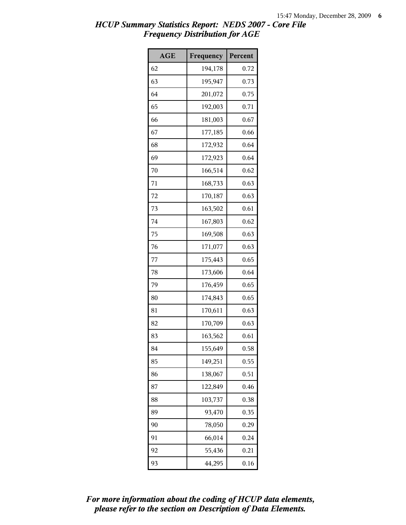| <b>AGE</b> | Frequency | Percent |
|------------|-----------|---------|
| 62         | 194,178   | 0.72    |
| 63         | 195,947   | 0.73    |
| 64         | 201,072   | 0.75    |
| 65         | 192,003   | 0.71    |
| 66         | 181,003   | 0.67    |
| 67         | 177,185   | 0.66    |
| 68         | 172,932   | 0.64    |
| 69         | 172,923   | 0.64    |
| 70         | 166,514   | 0.62    |
| 71         | 168,733   | 0.63    |
| 72         | 170,187   | 0.63    |
| 73         | 163,502   | 0.61    |
| 74         | 167,803   | 0.62    |
| 75         | 169,508   | 0.63    |
| 76         | 171,077   | 0.63    |
| 77         | 175,443   | 0.65    |
| 78         | 173,606   | 0.64    |
| 79         | 176,459   | 0.65    |
| 80         | 174,843   | 0.65    |
| 81         | 170,611   | 0.63    |
| 82         | 170,709   | 0.63    |
| 83         | 163,562   | 0.61    |
| 84         | 155,649   | 0.58    |
| 85         | 149,251   | 0.55    |
| 86         | 138,067   | 0.51    |
| 87         | 122,849   | 0.46    |
| 88         | 103,737   | 0.38    |
| 89         | 93,470    | 0.35    |
| 90         | 78,050    | 0.29    |
| 91         | 66,014    | 0.24    |
| 92         | 55,436    | 0.21    |
| 93         | 44,295    | 0.16    |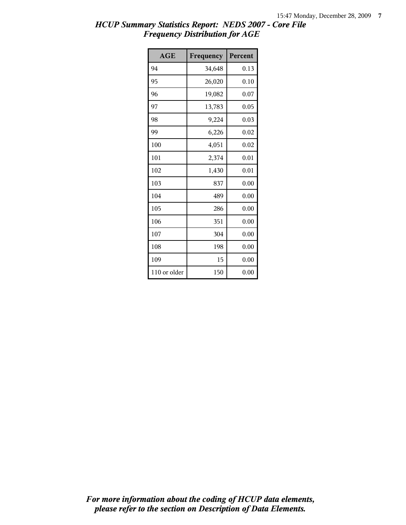| <b>AGE</b>   | Frequency | Percent |
|--------------|-----------|---------|
| 94           | 34,648    | 0.13    |
| 95           | 26,020    | 0.10    |
| 96           | 19,082    | 0.07    |
| 97           | 13,783    | 0.05    |
| 98           | 9,224     | 0.03    |
| 99           | 6,226     | 0.02    |
| 100          | 4,051     | 0.02    |
| 101          | 2,374     | 0.01    |
| 102          | 1,430     | 0.01    |
| 103          | 837       | 0.00    |
| 104          | 489       | 0.00    |
| 105          | 286       | 0.00    |
| 106          | 351       | 0.00    |
| 107          | 304       | 0.00    |
| 108          | 198       | 0.00    |
| 109          | 15        | 0.00    |
| 110 or older | 150       | 0.00    |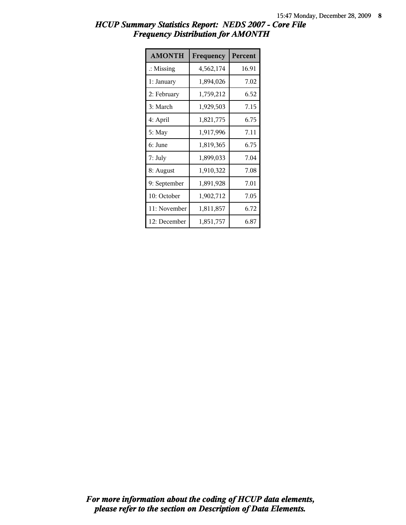| <b>AMONTH</b>        | Frequency | Percent |
|----------------------|-----------|---------|
| $\therefore$ Missing | 4,562,174 | 16.91   |
| 1: January           | 1,894,026 | 7.02    |
| 2: February          | 1,759,212 | 6.52    |
| 3: March             | 1,929,503 | 7.15    |
| 4: April             | 1,821,775 | 6.75    |
| 5: May               | 1,917,996 | 7.11    |
| 6: June              | 1,819,365 | 6.75    |
| 7: July              | 1,899,033 | 7.04    |
| 8: August            | 1,910,322 | 7.08    |
| 9: September         | 1,891,928 | 7.01    |
| 10: October          | 1,902,712 | 7.05    |
| 11: November         | 1,811,857 | 6.72    |
| 12: December         | 1,851,757 | 6.87    |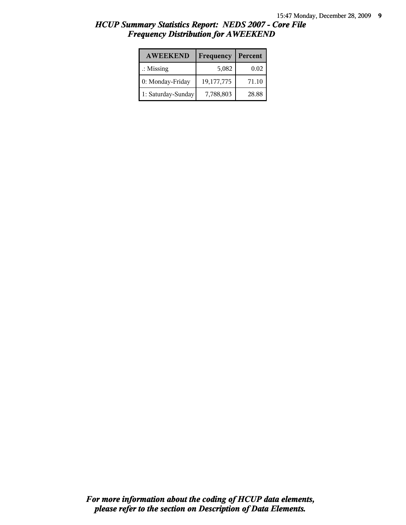| <b>AWEEKEND</b>      | Frequency  | Percent |
|----------------------|------------|---------|
| $\therefore$ Missing | 5,082      | 0.02    |
| 0: Monday-Friday     | 19,177,775 | 71.10   |
| 1: Saturday-Sunday   | 7,788,803  | 28.88   |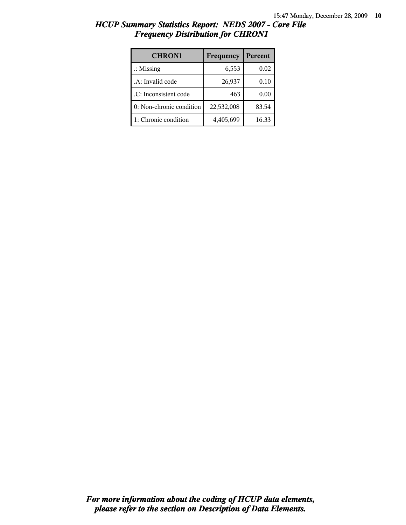| <b>CHRON1</b>            | Frequency  | Percent |
|--------------------------|------------|---------|
| $\therefore$ Missing     | 6,553      | 0.02    |
| .A: Invalid code         | 26,937     | 0.10    |
| .C: Inconsistent code    | 463        | 0.00    |
| 0: Non-chronic condition | 22,532,008 | 83.54   |
| 1: Chronic condition     | 4,405,699  | 16.33   |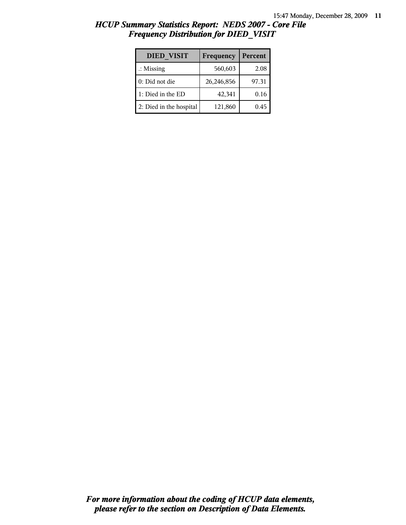| HCUP Summary Statistics Report: NEDS 2007 - Core File |  |
|-------------------------------------------------------|--|
| <b>Frequency Distribution for DIED VISIT</b>          |  |

| <b>DIED VISIT</b>       | Frequency  | Percent |
|-------------------------|------------|---------|
| $\therefore$ Missing    | 560,603    | 2.08    |
| 0: Did not die          | 26,246,856 | 97.31   |
| 1: Died in the ED       | 42,341     | 0.16    |
| 2: Died in the hospital | 121,860    | 0.45    |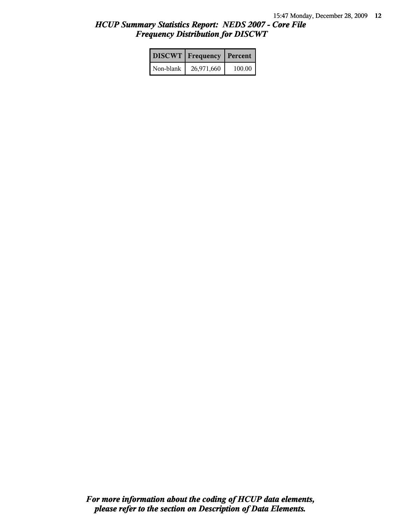|           | <b>DISCWT</b> Frequency | Percent |
|-----------|-------------------------|---------|
| Non-blank | 26,971,660              | 100.00  |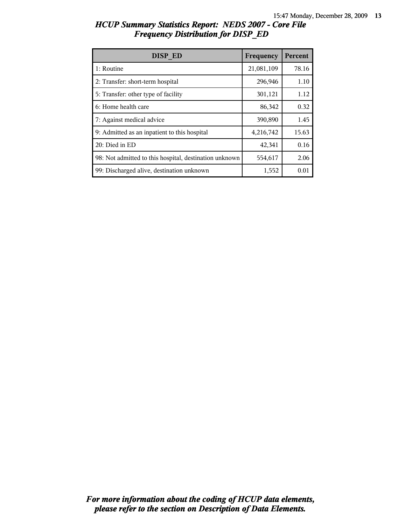| DISP ED                                                | Frequency  | Percent |
|--------------------------------------------------------|------------|---------|
| 1: Routine                                             | 21,081,109 | 78.16   |
| 2: Transfer: short-term hospital                       | 296,946    | 1.10    |
| 5: Transfer: other type of facility                    | 301,121    | 1.12    |
| 6: Home health care                                    | 86,342     | 0.32    |
| 7: Against medical advice                              | 390,890    | 1.45    |
| 9: Admitted as an inpatient to this hospital           | 4,216,742  | 15.63   |
| 20: Died in ED                                         | 42,341     | 0.16    |
| 98: Not admitted to this hospital, destination unknown | 554,617    | 2.06    |
| 99: Discharged alive, destination unknown              | 1,552      | 0.01    |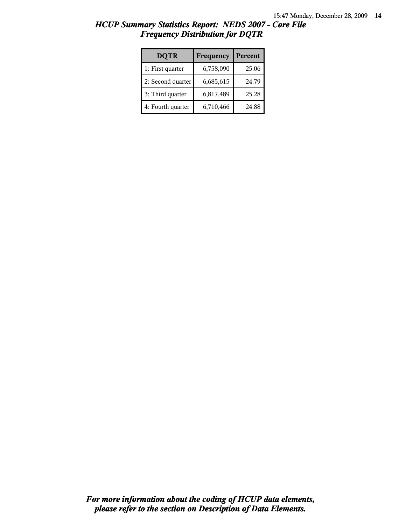| <b>DQTR</b>       | Frequency | Percent |
|-------------------|-----------|---------|
| 1: First quarter  | 6,758,090 | 25.06   |
| 2: Second quarter | 6,685,615 | 24.79   |
| 3: Third quarter  | 6,817,489 | 25.28   |
| 4: Fourth quarter | 6,710,466 | 24.88   |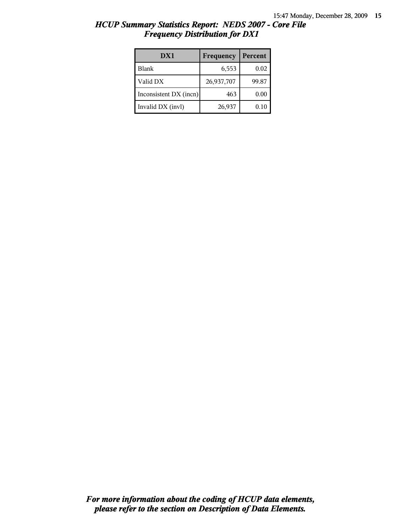| DX1                    | Frequency  | Percent |
|------------------------|------------|---------|
| <b>Blank</b>           | 6,553      | 0.02    |
| Valid DX               | 26,937,707 | 99.87   |
| Inconsistent DX (incn) | 463        | 0.00    |
| Invalid DX (invl)      | 26,937     | 0.10    |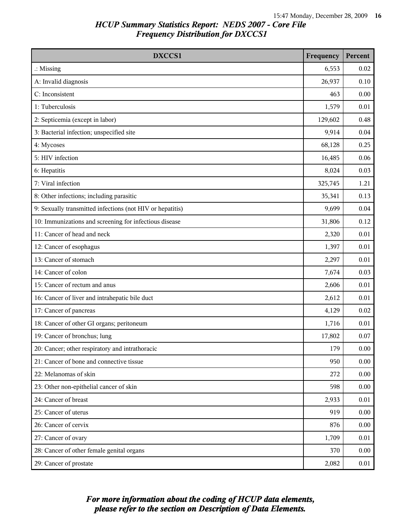| DXCCS1                                                    | Frequency | Percent |
|-----------------------------------------------------------|-----------|---------|
| $\therefore$ Missing                                      | 6,553     | 0.02    |
| A: Invalid diagnosis                                      | 26,937    | 0.10    |
| C: Inconsistent                                           | 463       | 0.00    |
| 1: Tuberculosis                                           | 1,579     | 0.01    |
| 2: Septicemia (except in labor)                           | 129,602   | 0.48    |
| 3: Bacterial infection; unspecified site                  | 9,914     | 0.04    |
| 4: Mycoses                                                | 68,128    | 0.25    |
| 5: HIV infection                                          | 16,485    | 0.06    |
| 6: Hepatitis                                              | 8,024     | 0.03    |
| 7: Viral infection                                        | 325,745   | 1.21    |
| 8: Other infections; including parasitic                  | 35,341    | 0.13    |
| 9: Sexually transmitted infections (not HIV or hepatitis) | 9,699     | 0.04    |
| 10: Immunizations and screening for infectious disease    | 31,806    | 0.12    |
| 11: Cancer of head and neck                               | 2,320     | 0.01    |
| 12: Cancer of esophagus                                   | 1,397     | 0.01    |
| 13: Cancer of stomach                                     | 2,297     | 0.01    |
| 14: Cancer of colon                                       | 7,674     | 0.03    |
| 15: Cancer of rectum and anus                             | 2,606     | 0.01    |
| 16: Cancer of liver and intrahepatic bile duct            | 2,612     | 0.01    |
| 17: Cancer of pancreas                                    | 4,129     | 0.02    |
| 18: Cancer of other GI organs; peritoneum                 | 1,716     | 0.01    |
| 19: Cancer of bronchus; lung                              | 17,802    | 0.07    |
| 20: Cancer; other respiratory and intrathoracic           | 179       | 0.00    |
| 21: Cancer of bone and connective tissue                  | 950       | 0.00    |
| 22: Melanomas of skin                                     | 272       | 0.00    |
| 23: Other non-epithelial cancer of skin                   | 598       | 0.00    |
| 24: Cancer of breast                                      | 2,933     | 0.01    |
| 25: Cancer of uterus                                      | 919       | 0.00    |
| 26: Cancer of cervix                                      | 876       | 0.00    |
| 27: Cancer of ovary                                       | 1,709     | 0.01    |
| 28: Cancer of other female genital organs                 | 370       | 0.00    |
| 29: Cancer of prostate                                    | 2,082     | 0.01    |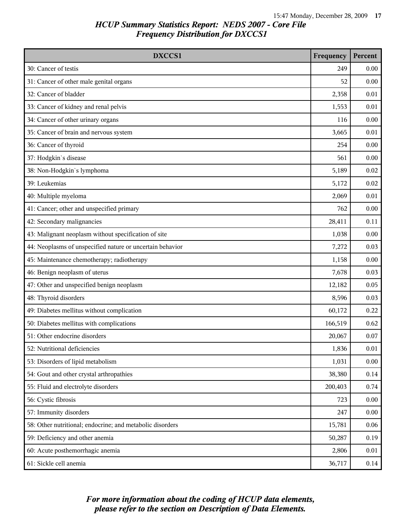| DXCCS1                                                    | Frequency | Percent  |
|-----------------------------------------------------------|-----------|----------|
| 30: Cancer of testis                                      | 249       | 0.00     |
| 31: Cancer of other male genital organs                   | 52        | 0.00     |
| 32: Cancer of bladder                                     | 2,358     | 0.01     |
| 33: Cancer of kidney and renal pelvis                     | 1,553     | 0.01     |
| 34: Cancer of other urinary organs                        | 116       | 0.00     |
| 35: Cancer of brain and nervous system                    | 3,665     | 0.01     |
| 36: Cancer of thyroid                                     | 254       | 0.00     |
| 37: Hodgkin's disease                                     | 561       | 0.00     |
| 38: Non-Hodgkin's lymphoma                                | 5,189     | 0.02     |
| 39: Leukemias                                             | 5,172     | 0.02     |
| 40: Multiple myeloma                                      | 2,069     | 0.01     |
| 41: Cancer; other and unspecified primary                 | 762       | 0.00     |
| 42: Secondary malignancies                                | 28,411    | 0.11     |
| 43: Malignant neoplasm without specification of site      | 1,038     | 0.00     |
| 44: Neoplasms of unspecified nature or uncertain behavior | 7,272     | 0.03     |
| 45: Maintenance chemotherapy; radiotherapy                | 1,158     | 0.00     |
| 46: Benign neoplasm of uterus                             | 7,678     | 0.03     |
| 47: Other and unspecified benign neoplasm                 | 12,182    | 0.05     |
| 48: Thyroid disorders                                     | 8,596     | 0.03     |
| 49: Diabetes mellitus without complication                | 60,172    | 0.22     |
| 50: Diabetes mellitus with complications                  | 166,519   | 0.62     |
| 51: Other endocrine disorders                             | 20,067    | 0.07     |
| 52: Nutritional deficiencies                              | 1,836     | $0.01\,$ |
| 53: Disorders of lipid metabolism                         | 1,031     | 0.00     |
| 54: Gout and other crystal arthropathies                  | 38,380    | 0.14     |
| 55: Fluid and electrolyte disorders                       | 200,403   | 0.74     |
| 56: Cystic fibrosis                                       | 723       | 0.00     |
| 57: Immunity disorders                                    | 247       | 0.00     |
| 58: Other nutritional; endocrine; and metabolic disorders | 15,781    | 0.06     |
| 59: Deficiency and other anemia                           | 50,287    | 0.19     |
| 60: Acute posthemorrhagic anemia                          | 2,806     | 0.01     |
| 61: Sickle cell anemia                                    | 36,717    | 0.14     |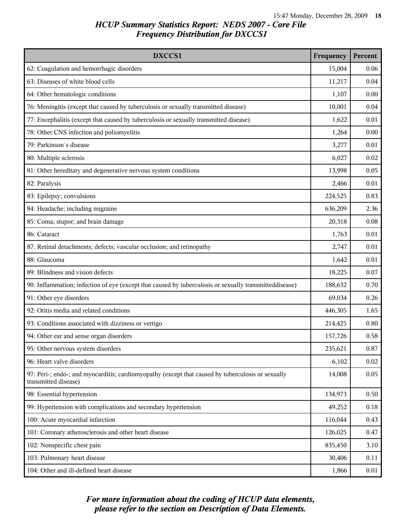| DXCCS1                                                                                                                    | Frequency | Percent |
|---------------------------------------------------------------------------------------------------------------------------|-----------|---------|
| 62: Coagulation and hemorrhagic disorders                                                                                 | 15,004    | 0.06    |
| 63: Diseases of white blood cells                                                                                         | 11,217    | 0.04    |
| 64: Other hematologic conditions                                                                                          | 1,107     | 0.00    |
| 76: Meningitis (except that caused by tuberculosis or sexually transmitted disease)                                       | 10,001    | 0.04    |
| 77: Encephalitis (except that caused by tuberculosis or sexually transmitted disease)                                     | 1,622     | 0.01    |
| 78: Other CNS infection and poliomyelitis                                                                                 | 1,264     | 0.00    |
| 79: Parkinson's disease                                                                                                   | 3,277     | 0.01    |
| 80: Multiple sclerosis                                                                                                    | 6,027     | 0.02    |
| 81: Other hereditary and degenerative nervous system conditions                                                           | 13,998    | 0.05    |
| 82: Paralysis                                                                                                             | 2,466     | 0.01    |
| 83: Epilepsy; convulsions                                                                                                 | 224,525   | 0.83    |
| 84: Headache; including migraine                                                                                          | 636,209   | 2.36    |
| 85: Coma; stupor; and brain damage                                                                                        | 20,318    | 0.08    |
| 86: Cataract                                                                                                              | 1,763     | 0.01    |
| 87: Retinal detachments; defects; vascular occlusion; and retinopathy                                                     | 2,747     | 0.01    |
| 88: Glaucoma                                                                                                              | 1,642     | 0.01    |
| 89: Blindness and vision defects                                                                                          | 18,225    | 0.07    |
| 90: Inflammation; infection of eye (except that caused by tuberculosis or sexually transmitteddisease)                    | 188,632   | 0.70    |
| 91: Other eye disorders                                                                                                   | 69,034    | 0.26    |
| 92: Otitis media and related conditions                                                                                   | 446,305   | 1.65    |
| 93: Conditions associated with dizziness or vertigo                                                                       | 214,425   | 0.80    |
| 94: Other ear and sense organ disorders                                                                                   | 157,726   | 0.58    |
| 95: Other nervous system disorders                                                                                        | 235,621   | 0.87    |
| 96: Heart valve disorders                                                                                                 | 6,102     | 0.02    |
| 97: Peri-; endo-; and myocarditis; cardiomyopathy (except that caused by tuberculosis or sexually<br>transmitted disease) | 14,008    | 0.05    |
| 98: Essential hypertension                                                                                                | 134,973   | 0.50    |
| 99: Hypertension with complications and secondary hypertension                                                            | 49,252    | 0.18    |
| 100: Acute myocardial infarction                                                                                          | 116,044   | 0.43    |
| 101: Coronary atherosclerosis and other heart disease                                                                     | 126,025   | 0.47    |
| 102: Nonspecific chest pain                                                                                               | 835,450   | 3.10    |
| 103: Pulmonary heart disease                                                                                              | 30,406    | 0.11    |
| 104: Other and ill-defined heart disease                                                                                  | 1,866     | 0.01    |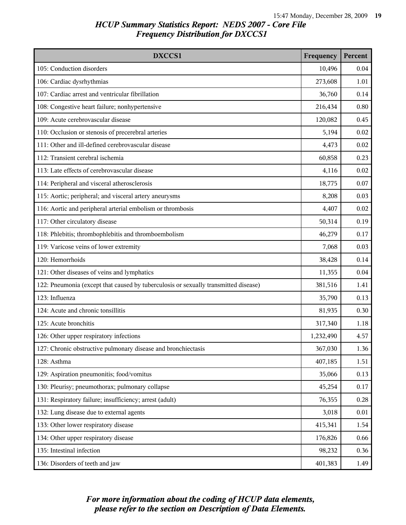| DXCCS1                                                                              | Frequency | Percent |
|-------------------------------------------------------------------------------------|-----------|---------|
| 105: Conduction disorders                                                           | 10,496    | 0.04    |
| 106: Cardiac dysrhythmias                                                           | 273,608   | 1.01    |
| 107: Cardiac arrest and ventricular fibrillation                                    | 36,760    | 0.14    |
| 108: Congestive heart failure; nonhypertensive                                      | 216,434   | 0.80    |
| 109: Acute cerebrovascular disease                                                  | 120,082   | 0.45    |
| 110: Occlusion or stenosis of precerebral arteries                                  | 5,194     | 0.02    |
| 111: Other and ill-defined cerebrovascular disease                                  | 4,473     | 0.02    |
| 112: Transient cerebral ischemia                                                    | 60,858    | 0.23    |
| 113: Late effects of cerebrovascular disease                                        | 4,116     | 0.02    |
| 114: Peripheral and visceral atherosclerosis                                        | 18,775    | 0.07    |
| 115: Aortic; peripheral; and visceral artery aneurysms                              | 8,208     | 0.03    |
| 116: Aortic and peripheral arterial embolism or thrombosis                          | 4,407     | 0.02    |
| 117: Other circulatory disease                                                      | 50,314    | 0.19    |
| 118: Phlebitis; thrombophlebitis and thromboembolism                                | 46,279    | 0.17    |
| 119: Varicose veins of lower extremity                                              | 7,068     | 0.03    |
| 120: Hemorrhoids                                                                    | 38,428    | 0.14    |
| 121: Other diseases of veins and lymphatics                                         | 11,355    | 0.04    |
| 122: Pneumonia (except that caused by tuberculosis or sexually transmitted disease) | 381,516   | 1.41    |
| 123: Influenza                                                                      | 35,790    | 0.13    |
| 124: Acute and chronic tonsillitis                                                  | 81,935    | 0.30    |
| 125: Acute bronchitis                                                               | 317,340   | 1.18    |
| 126: Other upper respiratory infections                                             | 1,232,490 | 4.57    |
| 127: Chronic obstructive pulmonary disease and bronchiectasis                       | 367,030   | 1.36    |
| 128: Asthma                                                                         | 407,185   | 1.51    |
| 129: Aspiration pneumonitis; food/vomitus                                           | 35,066    | 0.13    |
| 130: Pleurisy; pneumothorax; pulmonary collapse                                     | 45,254    | 0.17    |
| 131: Respiratory failure; insufficiency; arrest (adult)                             | 76,355    | 0.28    |
| 132: Lung disease due to external agents                                            | 3,018     | 0.01    |
| 133: Other lower respiratory disease                                                | 415,341   | 1.54    |
| 134: Other upper respiratory disease                                                | 176,826   | 0.66    |
| 135: Intestinal infection                                                           | 98,232    | 0.36    |
| 136: Disorders of teeth and jaw                                                     | 401,383   | 1.49    |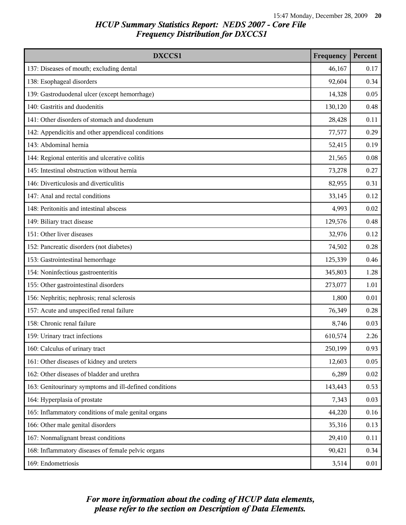| DXCCS1                                                 | Frequency | Percent |
|--------------------------------------------------------|-----------|---------|
| 137: Diseases of mouth; excluding dental               | 46,167    | 0.17    |
| 138: Esophageal disorders                              | 92,604    | 0.34    |
| 139: Gastroduodenal ulcer (except hemorrhage)          | 14,328    | 0.05    |
| 140: Gastritis and duodenitis                          | 130,120   | 0.48    |
| 141: Other disorders of stomach and duodenum           | 28,428    | 0.11    |
| 142: Appendicitis and other appendiceal conditions     | 77,577    | 0.29    |
| 143: Abdominal hernia                                  | 52,415    | 0.19    |
| 144: Regional enteritis and ulcerative colitis         | 21,565    | 0.08    |
| 145: Intestinal obstruction without hernia             | 73,278    | 0.27    |
| 146: Diverticulosis and diverticulitis                 | 82,955    | 0.31    |
| 147: Anal and rectal conditions                        | 33,145    | 0.12    |
| 148: Peritonitis and intestinal abscess                | 4,993     | 0.02    |
| 149: Biliary tract disease                             | 129,576   | 0.48    |
| 151: Other liver diseases                              | 32,976    | 0.12    |
| 152: Pancreatic disorders (not diabetes)               | 74,502    | 0.28    |
| 153: Gastrointestinal hemorrhage                       | 125,339   | 0.46    |
| 154: Noninfectious gastroenteritis                     | 345,803   | 1.28    |
| 155: Other gastrointestinal disorders                  | 273,077   | 1.01    |
| 156: Nephritis; nephrosis; renal sclerosis             | 1,800     | 0.01    |
| 157: Acute and unspecified renal failure               | 76,349    | 0.28    |
| 158: Chronic renal failure                             | 8,746     | 0.03    |
| 159: Urinary tract infections                          | 610,574   | 2.26    |
| 160: Calculus of urinary tract                         | 250,199   | 0.93    |
| 161: Other diseases of kidney and ureters              | 12,603    | 0.05    |
| 162: Other diseases of bladder and urethra             | 6,289     | 0.02    |
| 163: Genitourinary symptoms and ill-defined conditions | 143,443   | 0.53    |
| 164: Hyperplasia of prostate                           | 7,343     | 0.03    |
| 165: Inflammatory conditions of male genital organs    | 44,220    | 0.16    |
| 166: Other male genital disorders                      | 35,316    | 0.13    |
| 167: Nonmalignant breast conditions                    | 29,410    | 0.11    |
| 168: Inflammatory diseases of female pelvic organs     | 90,421    | 0.34    |
| 169: Endometriosis                                     | 3,514     | 0.01    |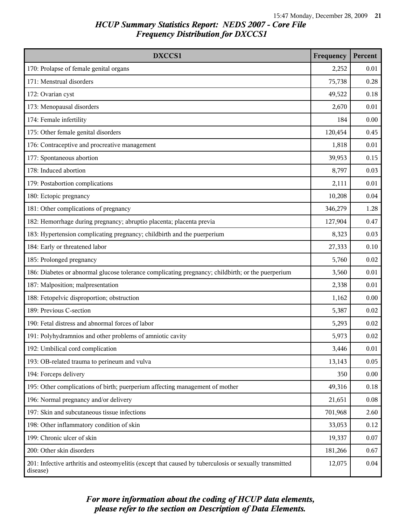| DXCCS1                                                                                                             | Frequency | Percent |
|--------------------------------------------------------------------------------------------------------------------|-----------|---------|
| 170: Prolapse of female genital organs                                                                             | 2,252     | 0.01    |
| 171: Menstrual disorders                                                                                           | 75,738    | 0.28    |
| 172: Ovarian cyst                                                                                                  | 49,522    | 0.18    |
| 173: Menopausal disorders                                                                                          | 2,670     | 0.01    |
| 174: Female infertility                                                                                            | 184       | 0.00    |
| 175: Other female genital disorders                                                                                | 120,454   | 0.45    |
| 176: Contraceptive and procreative management                                                                      | 1,818     | 0.01    |
| 177: Spontaneous abortion                                                                                          | 39,953    | 0.15    |
| 178: Induced abortion                                                                                              | 8,797     | 0.03    |
| 179: Postabortion complications                                                                                    | 2,111     | 0.01    |
| 180: Ectopic pregnancy                                                                                             | 10,208    | 0.04    |
| 181: Other complications of pregnancy                                                                              | 346,279   | 1.28    |
| 182: Hemorrhage during pregnancy; abruptio placenta; placenta previa                                               | 127,904   | 0.47    |
| 183: Hypertension complicating pregnancy; childbirth and the puerperium                                            | 8,323     | 0.03    |
| 184: Early or threatened labor                                                                                     | 27,333    | 0.10    |
| 185: Prolonged pregnancy                                                                                           | 5,760     | 0.02    |
| 186: Diabetes or abnormal glucose tolerance complicating pregnancy; childbirth; or the puerperium                  | 3,560     | 0.01    |
| 187: Malposition; malpresentation                                                                                  | 2,338     | 0.01    |
| 188: Fetopelvic disproportion; obstruction                                                                         | 1,162     | 0.00    |
| 189: Previous C-section                                                                                            | 5,387     | 0.02    |
| 190: Fetal distress and abnormal forces of labor                                                                   | 5,293     | 0.02    |
| 191: Polyhydramnios and other problems of amniotic cavity                                                          | 5,973     | 0.02    |
| 192: Umbilical cord complication                                                                                   | 3,446     | 0.01    |
| 193: OB-related trauma to perineum and vulva                                                                       | 13,143    | 0.05    |
| 194: Forceps delivery                                                                                              | 350       | 0.00    |
| 195: Other complications of birth; puerperium affecting management of mother                                       | 49,316    | 0.18    |
| 196: Normal pregnancy and/or delivery                                                                              | 21,651    | 0.08    |
| 197: Skin and subcutaneous tissue infections                                                                       | 701,968   | 2.60    |
| 198: Other inflammatory condition of skin                                                                          | 33,053    | 0.12    |
| 199: Chronic ulcer of skin                                                                                         | 19,337    | 0.07    |
| 200: Other skin disorders                                                                                          | 181,266   | 0.67    |
| 201: Infective arthritis and osteomyelitis (except that caused by tuberculosis or sexually transmitted<br>disease) | 12,075    | 0.04    |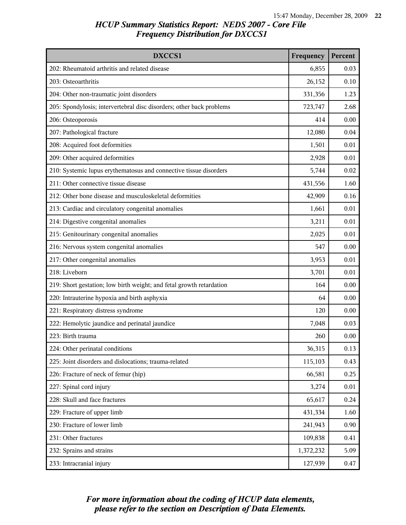| DXCCS1                                                               | Frequency | Percent |
|----------------------------------------------------------------------|-----------|---------|
| 202: Rheumatoid arthritis and related disease                        | 6,855     | 0.03    |
| 203: Osteoarthritis                                                  | 26,152    | 0.10    |
| 204: Other non-traumatic joint disorders                             | 331,356   | 1.23    |
| 205: Spondylosis; intervertebral disc disorders; other back problems | 723,747   | 2.68    |
| 206: Osteoporosis                                                    | 414       | 0.00    |
| 207: Pathological fracture                                           | 12,080    | 0.04    |
| 208: Acquired foot deformities                                       | 1,501     | 0.01    |
| 209: Other acquired deformities                                      | 2,928     | 0.01    |
| 210: Systemic lupus erythematosus and connective tissue disorders    | 5,744     | 0.02    |
| 211: Other connective tissue disease                                 | 431,556   | 1.60    |
| 212: Other bone disease and musculoskeletal deformities              | 42,909    | 0.16    |
| 213: Cardiac and circulatory congenital anomalies                    | 1,661     | 0.01    |
| 214: Digestive congenital anomalies                                  | 3,211     | 0.01    |
| 215: Genitourinary congenital anomalies                              | 2,025     | 0.01    |
| 216: Nervous system congenital anomalies                             | 547       | 0.00    |
| 217: Other congenital anomalies                                      | 3,953     | 0.01    |
| 218: Liveborn                                                        | 3,701     | 0.01    |
| 219: Short gestation; low birth weight; and fetal growth retardation | 164       | 0.00    |
| 220: Intrauterine hypoxia and birth asphyxia                         | 64        | 0.00    |
| 221: Respiratory distress syndrome                                   | 120       | 0.00    |
| 222: Hemolytic jaundice and perinatal jaundice                       | 7,048     | 0.03    |
| 223: Birth trauma                                                    | 260       | 0.00    |
| 224: Other perinatal conditions                                      | 36,315    | 0.13    |
| 225: Joint disorders and dislocations; trauma-related                | 115,103   | 0.43    |
| 226: Fracture of neck of femur (hip)                                 | 66,581    | 0.25    |
| 227: Spinal cord injury                                              | 3,274     | 0.01    |
| 228: Skull and face fractures                                        | 65,617    | 0.24    |
| 229: Fracture of upper limb                                          | 431,334   | 1.60    |
| 230: Fracture of lower limb                                          | 241,943   | 0.90    |
| 231: Other fractures                                                 | 109,838   | 0.41    |
| 232: Sprains and strains                                             | 1,372,232 | 5.09    |
| 233: Intracranial injury                                             | 127,939   | 0.47    |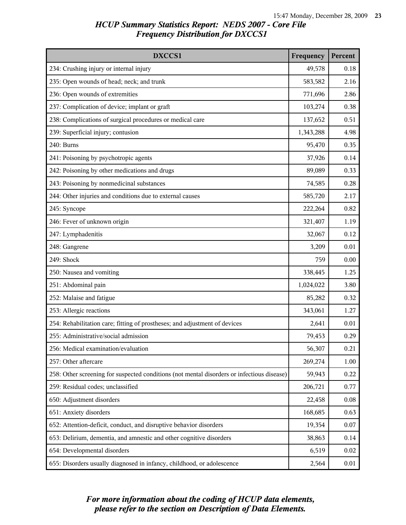| DXCCS1                                                                                     | Frequency | Percent  |
|--------------------------------------------------------------------------------------------|-----------|----------|
| 234: Crushing injury or internal injury                                                    | 49,578    | 0.18     |
| 235: Open wounds of head; neck; and trunk                                                  | 583,582   | 2.16     |
| 236: Open wounds of extremities                                                            | 771,696   | 2.86     |
| 237: Complication of device; implant or graft                                              | 103,274   | 0.38     |
| 238: Complications of surgical procedures or medical care                                  | 137,652   | 0.51     |
| 239: Superficial injury; contusion                                                         | 1,343,288 | 4.98     |
| 240: Burns                                                                                 | 95,470    | 0.35     |
| 241: Poisoning by psychotropic agents                                                      | 37,926    | 0.14     |
| 242: Poisoning by other medications and drugs                                              | 89,089    | 0.33     |
| 243: Poisoning by nonmedicinal substances                                                  | 74,585    | 0.28     |
| 244: Other injuries and conditions due to external causes                                  | 585,720   | 2.17     |
| 245: Syncope                                                                               | 222,264   | 0.82     |
| 246: Fever of unknown origin                                                               | 321,407   | 1.19     |
| 247: Lymphadenitis                                                                         | 32,067    | 0.12     |
| 248: Gangrene                                                                              | 3,209     | 0.01     |
| 249: Shock                                                                                 | 759       | 0.00     |
| 250: Nausea and vomiting                                                                   | 338,445   | 1.25     |
| 251: Abdominal pain                                                                        | 1,024,022 | 3.80     |
| 252: Malaise and fatigue                                                                   | 85,282    | 0.32     |
| 253: Allergic reactions                                                                    | 343,061   | 1.27     |
| 254: Rehabilitation care; fitting of prostheses; and adjustment of devices                 | 2,641     | 0.01     |
| 255: Administrative/social admission                                                       | 79,453    | 0.29     |
| 256: Medical examination/evaluation                                                        | 56,307    | 0.21     |
| 257: Other aftercare                                                                       | 269,274   | 1.00     |
| 258: Other screening for suspected conditions (not mental disorders or infectious disease) | 59,943    | 0.22     |
| 259: Residual codes; unclassified                                                          | 206,721   | 0.77     |
| 650: Adjustment disorders                                                                  | 22,458    | $0.08\,$ |
| 651: Anxiety disorders                                                                     | 168,685   | 0.63     |
| 652: Attention-deficit, conduct, and disruptive behavior disorders                         | 19,354    | 0.07     |
| 653: Delirium, dementia, and amnestic and other cognitive disorders                        | 38,863    | 0.14     |
| 654: Developmental disorders                                                               | 6,519     | 0.02     |
| 655: Disorders usually diagnosed in infancy, childhood, or adolescence                     | 2,564     | 0.01     |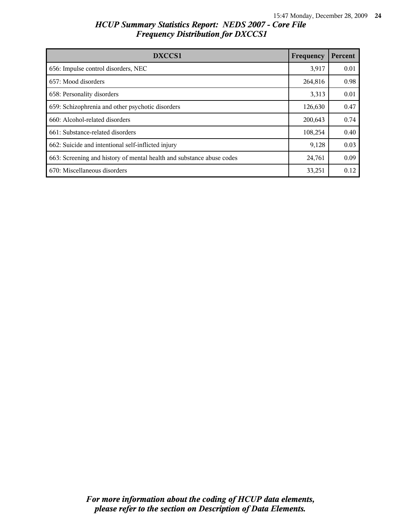| <b>DXCCS1</b>                                                         | Frequency | Percent |
|-----------------------------------------------------------------------|-----------|---------|
| 656: Impulse control disorders, NEC                                   | 3,917     | 0.01    |
| 657: Mood disorders                                                   | 264,816   | 0.98    |
| 658: Personality disorders                                            | 3,313     | 0.01    |
| 659: Schizophrenia and other psychotic disorders                      | 126,630   | 0.47    |
| 660: Alcohol-related disorders                                        | 200,643   | 0.74    |
| 661: Substance-related disorders                                      | 108,254   | 0.40    |
| 662: Suicide and intentional self-inflicted injury                    | 9,128     | 0.03    |
| 663: Screening and history of mental health and substance abuse codes | 24,761    | 0.09    |
| 670: Miscellaneous disorders                                          | 33,251    | 0.12    |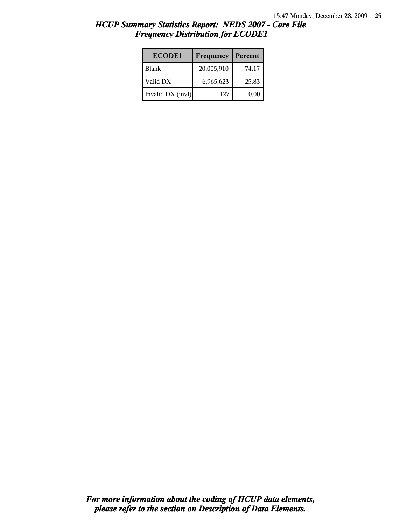| <b>ECODE1</b>     | Frequency  | Percent |
|-------------------|------------|---------|
| l Blank           | 20,005,910 | 74.17   |
| Valid DX          | 6,965,623  | 25.83   |
| Invalid DX (invl) | 127        | 0.00    |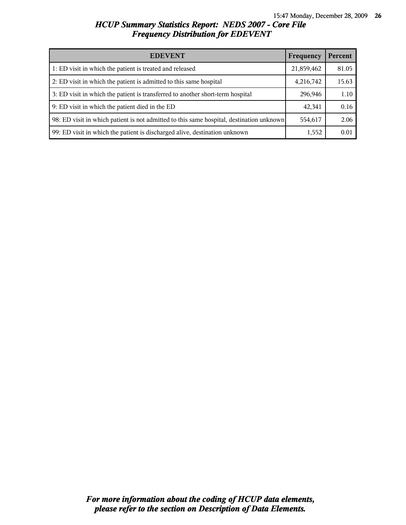| <b>EDEVENT</b>                                                                           | Frequency  | Percent |
|------------------------------------------------------------------------------------------|------------|---------|
| 1: ED visit in which the patient is treated and released                                 | 21,859,462 | 81.05   |
| 2: ED visit in which the patient is admitted to this same hospital                       | 4,216,742  | 15.63   |
| 3: ED visit in which the patient is transferred to another short-term hospital           | 296,946    | 1.10    |
| 9: ED visit in which the patient died in the ED                                          | 42,341     | 0.16    |
| 98: ED visit in which patient is not admitted to this same hospital, destination unknown | 554,617    | 2.06    |
| 99: ED visit in which the patient is discharged alive, destination unknown               | 1,552      | 0.01    |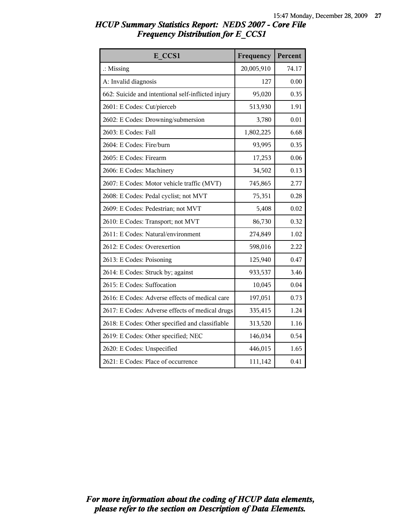| HCUP Summary Statistics Report: NEDS 2007 - Core File |  |
|-------------------------------------------------------|--|
| <b>Frequency Distribution for E CCS1</b>              |  |

| E CCS1                                             | Frequency  | Percent |
|----------------------------------------------------|------------|---------|
| $\therefore$ Missing                               | 20,005,910 | 74.17   |
| A: Invalid diagnosis                               | 127        | 0.00    |
| 662: Suicide and intentional self-inflicted injury | 95,020     | 0.35    |
| 2601: E Codes: Cut/pierceb                         | 513,930    | 1.91    |
| 2602: E Codes: Drowning/submersion                 | 3,780      | 0.01    |
| 2603: E Codes: Fall                                | 1,802,225  | 6.68    |
| 2604: E Codes: Fire/burn                           | 93,995     | 0.35    |
| 2605: E Codes: Firearm                             | 17,253     | 0.06    |
| 2606: E Codes: Machinery                           | 34,502     | 0.13    |
| 2607: E Codes: Motor vehicle traffic (MVT)         | 745,865    | 2.77    |
| 2608: E Codes: Pedal cyclist; not MVT              | 75,351     | 0.28    |
| 2609: E Codes: Pedestrian; not MVT                 | 5,408      | 0.02    |
| 2610: E Codes: Transport; not MVT                  | 86,730     | 0.32    |
| 2611: E Codes: Natural/environment                 | 274,849    | 1.02    |
| 2612: E Codes: Overexertion                        | 598,016    | 2.22    |
| 2613: E Codes: Poisoning                           | 125,940    | 0.47    |
| 2614: E Codes: Struck by; against                  | 933,537    | 3.46    |
| 2615: E Codes: Suffocation                         | 10,045     | 0.04    |
| 2616: E Codes: Adverse effects of medical care     | 197,051    | 0.73    |
| 2617: E Codes: Adverse effects of medical drugs    | 335,415    | 1.24    |
| 2618: E Codes: Other specified and classifiable    | 313,520    | 1.16    |
| 2619: E Codes: Other specified; NEC                | 146,034    | 0.54    |
| 2620: E Codes: Unspecified                         | 446,015    | 1.65    |
| 2621: E Codes: Place of occurrence                 | 111,142    | 0.41    |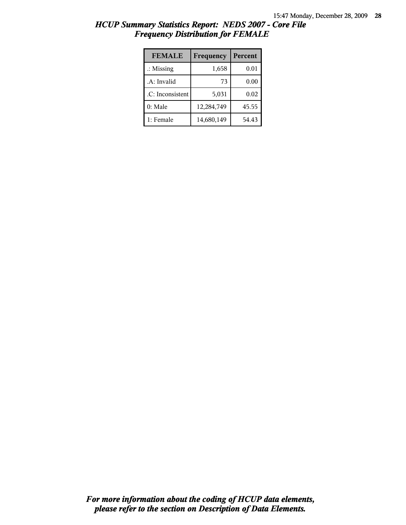| <b>FEMALE</b>        | Frequency  | Percent |
|----------------------|------------|---------|
| $\therefore$ Missing | 1,658      | 0.01    |
| .A: Invalid          | 73         | 0.00    |
| .C: Inconsistent     | 5,031      | 0.02    |
| 0: Male              | 12,284,749 | 45.55   |
| 1: Female            | 14,680,149 | 54.43   |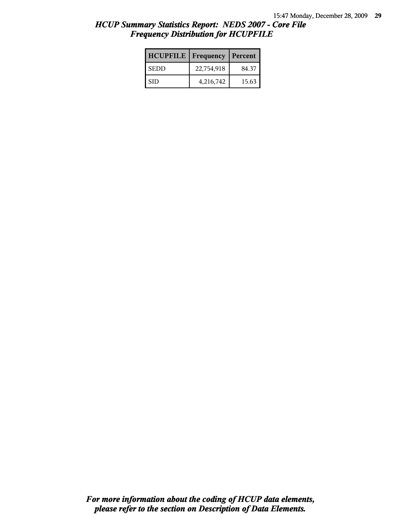| <b>HCUPFILE</b>   Frequency |            | Percent |
|-----------------------------|------------|---------|
| <b>SEDD</b>                 | 22,754,918 | 84.37   |
| <b>SID</b>                  | 4,216,742  | 15.63   |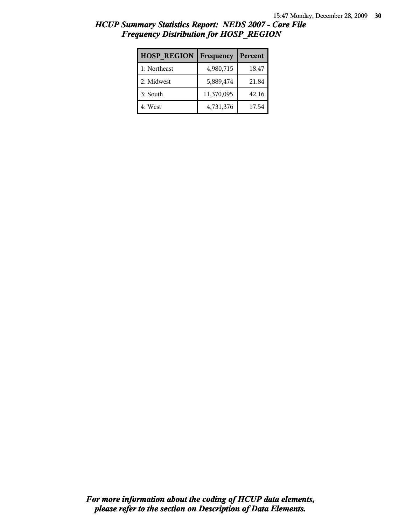| <b>HOSP REGION</b> | Frequency  | Percent |
|--------------------|------------|---------|
| 1: Northeast       | 4,980,715  | 18.47   |
| 2: Midwest         | 5,889,474  | 21.84   |
| 3: South           | 11,370,095 | 42.16   |
| 4: West            | 4,731,376  | 17.54   |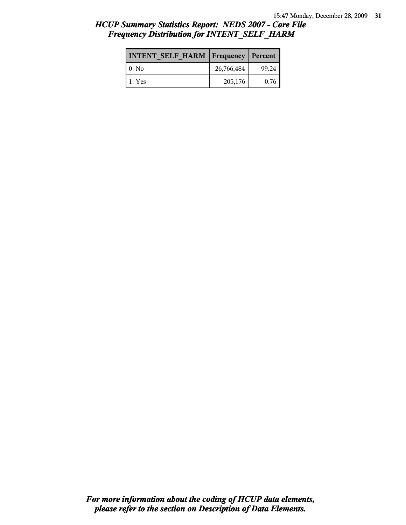| <b>INTENT SELF HARM   Frequency</b> |            | Percent |
|-------------------------------------|------------|---------|
| 10: No                              | 26,766,484 | 99.24   |
| 1 1: Yes                            | 205,176    | 0.76    |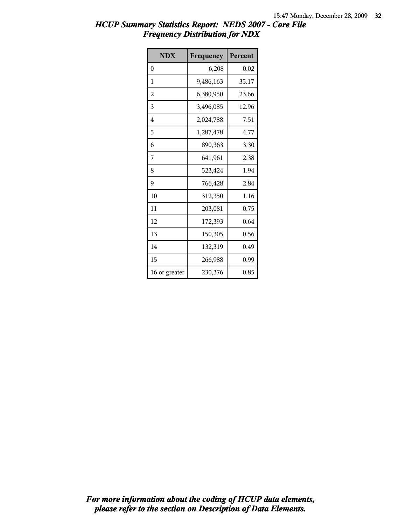| <b>NDX</b>    | Frequency | Percent |
|---------------|-----------|---------|
| $\theta$      | 6,208     | 0.02    |
| 1             | 9,486,163 | 35.17   |
| 2             | 6,380,950 | 23.66   |
| 3             | 3,496,085 | 12.96   |
| 4             | 2,024,788 | 7.51    |
| 5             | 1,287,478 | 4.77    |
| 6             | 890,363   | 3.30    |
| 7             | 641,961   | 2.38    |
| 8             | 523,424   | 1.94    |
| 9             | 766,428   | 2.84    |
| 10            | 312,350   | 1.16    |
| 11            | 203,081   | 0.75    |
| 12            | 172,393   | 0.64    |
| 13            | 150,305   | 0.56    |
| 14            | 132,319   | 0.49    |
| 15            | 266,988   | 0.99    |
| 16 or greater | 230,376   | 0.85    |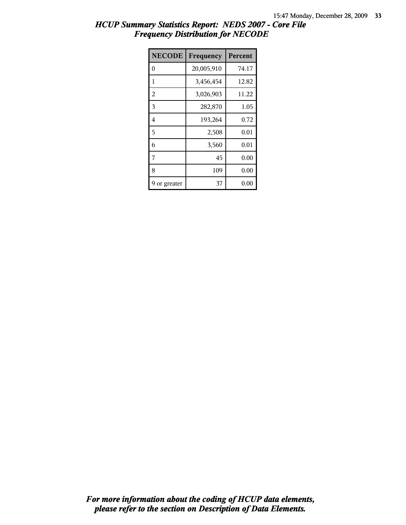| <b>NECODE</b>  | Frequency  | Percent |
|----------------|------------|---------|
| $\theta$       | 20,005,910 | 74.17   |
| 1              | 3,456,454  | 12.82   |
| $\overline{2}$ | 3,026,903  | 11.22   |
| 3              | 282,870    | 1.05    |
| 4              | 193,264    | 0.72    |
| 5              | 2,508      | 0.01    |
| 6              | 3,560      | 0.01    |
| 7              | 45         | 0.00    |
| 8              | 109        | 0.00    |
| or greater     | 37         | 0.00    |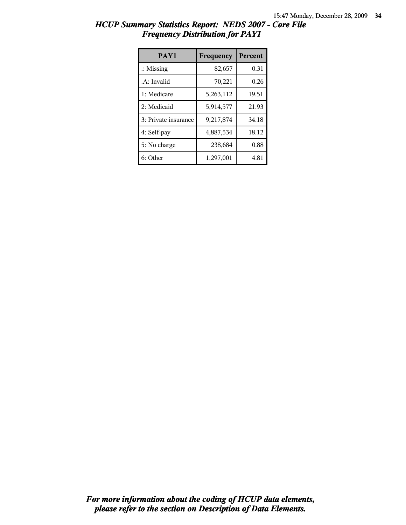| PAY1                 | Frequency | <b>Percent</b> |
|----------------------|-----------|----------------|
| $\therefore$ Missing | 82,657    | 0.31           |
| .A: Invalid          | 70,221    | 0.26           |
| 1: Medicare          | 5,263,112 | 19.51          |
| 2: Medicaid          | 5,914,577 | 21.93          |
| 3: Private insurance | 9,217,874 | 34.18          |
| 4: Self-pay          | 4,887,534 | 18.12          |
| 5: No charge         | 238,684   | 0.88           |
| 6: Other             | 1,297,001 | 4.81           |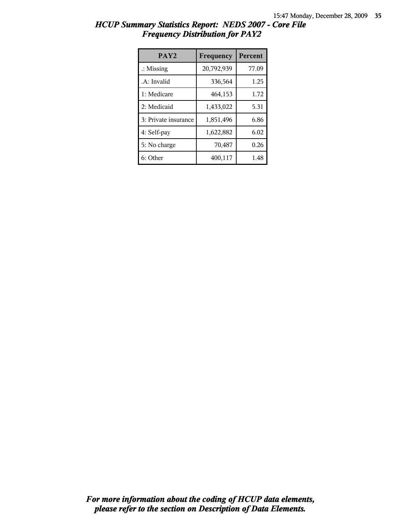| PAY <sub>2</sub>     | Frequency  | <b>Percent</b> |
|----------------------|------------|----------------|
| $\therefore$ Missing | 20,792,939 | 77.09          |
| .A: Invalid          | 336,564    | 1.25           |
| 1: Medicare          | 464,153    | 1.72           |
| 2: Medicaid          | 1,433,022  | 5.31           |
| 3: Private insurance | 1,851,496  | 6.86           |
| 4: Self-pay          | 1,622,882  | 6.02           |
| 5: No charge         | 70,487     | 0.26           |
| 6: Other             | 400,117    | 1.48           |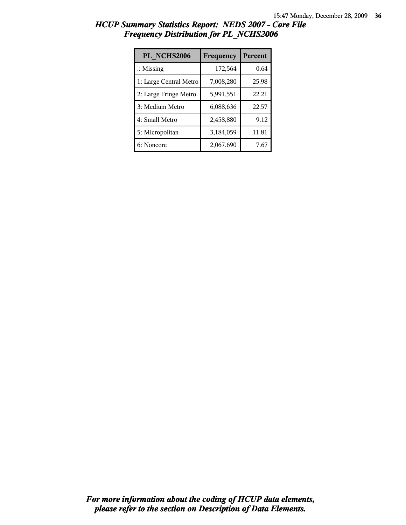| PL NCHS2006            | Frequency | Percent |
|------------------------|-----------|---------|
| $\therefore$ Missing   | 172,564   | 0.64    |
| 1: Large Central Metro | 7,008,280 | 25.98   |
| 2: Large Fringe Metro  | 5,991,551 | 22.21   |
| 3: Medium Metro        | 6,088,636 | 22.57   |
| 4: Small Metro         | 2,458,880 | 9.12    |
| 5: Micropolitan        | 3,184,059 | 11.81   |
| 6: Noncore             | 2,067,690 | 7.67    |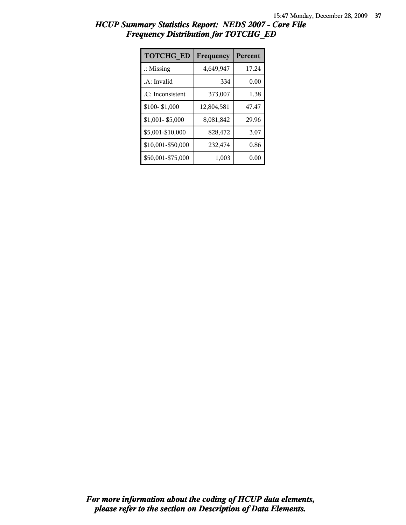| HCUP Summary Statistics Report: NEDS 2007 - Core File |  |
|-------------------------------------------------------|--|
| <b>Frequency Distribution for TOTCHG_ED</b>           |  |

| <b>TOTCHG ED</b>     | Frequency  | <b>Percent</b> |
|----------------------|------------|----------------|
| $\therefore$ Missing | 4,649,947  | 17.24          |
| .A: Invalid          | 334        | 0.00           |
| .C: Inconsistent     | 373,007    | 1.38           |
| \$100-\$1,000        | 12,804,581 | 47.47          |
| \$1,001-\$5,000      | 8,081,842  | 29.96          |
| \$5,001-\$10,000     | 828,472    | 3.07           |
| \$10,001-\$50,000    | 232,474    | 0.86           |
| \$50,001-\$75,000    | 1,003      | 0.00           |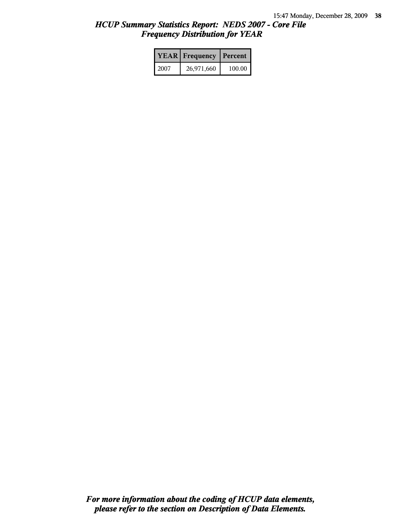|      | <b>YEAR</b> Frequency | <b>Percent</b> |
|------|-----------------------|----------------|
| 2007 | 26,971,660            | 100.00         |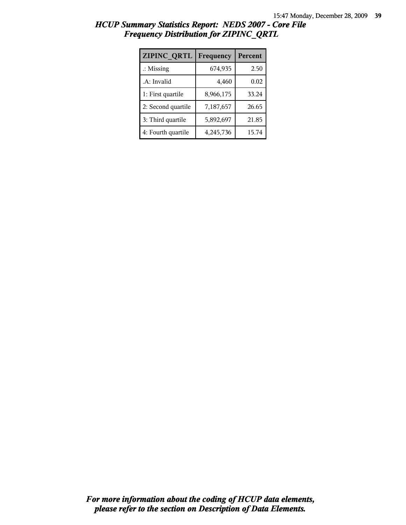| ZIPINC_QRTL          | Frequency | Percent |
|----------------------|-----------|---------|
| $\therefore$ Missing | 674,935   | 2.50    |
| .A: Invalid          | 4,460     | 0.02    |
| 1: First quartile    | 8,966,175 | 33.24   |
| 2: Second quartile   | 7,187,657 | 26.65   |
| 3: Third quartile    | 5,892,697 | 21.85   |
| 4: Fourth quartile   | 4,245,736 | 15.74   |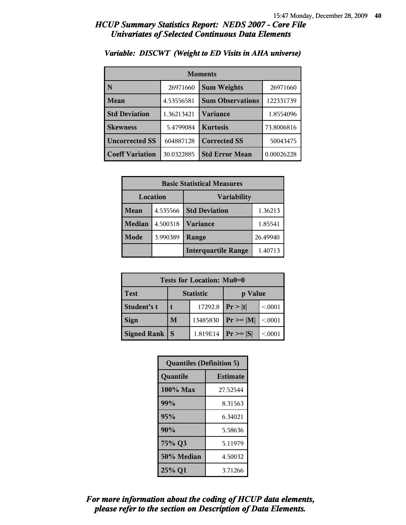| <b>Moments</b>         |            |                         |            |
|------------------------|------------|-------------------------|------------|
| N                      | 26971660   | <b>Sum Weights</b>      | 26971660   |
| Mean                   | 4.53556581 | <b>Sum Observations</b> | 122331739  |
| <b>Std Deviation</b>   | 1.36213421 | <b>Variance</b>         | 1.8554096  |
| <b>Skewness</b>        | 5.4799084  | <b>Kurtosis</b>         | 73.8006816 |
| <b>Uncorrected SS</b>  | 604887128  | <b>Corrected SS</b>     | 50043475   |
| <b>Coeff Variation</b> | 30.0322885 | <b>Std Error Mean</b>   | 0.00026228 |

### *Variable: DISCWT (Weight to ED Visits in AHA universe)*

| <b>Basic Statistical Measures</b> |          |                                 |          |  |
|-----------------------------------|----------|---------------------------------|----------|--|
| Location<br><b>Variability</b>    |          |                                 |          |  |
| Mean                              | 4.535566 | <b>Std Deviation</b><br>1.36213 |          |  |
| <b>Median</b>                     | 4.500318 | Variance                        | 1.85541  |  |
| Mode                              | 3.990389 | Range                           | 26.49940 |  |
|                                   |          | <b>Interquartile Range</b>      | 1.40713  |  |

| Tests for Location: Mu0=0 |                             |          |                |         |
|---------------------------|-----------------------------|----------|----------------|---------|
| <b>Test</b>               | <b>Statistic</b><br>p Value |          |                |         |
| Student's t               | 17292.8                     |          | Pr >  t        | < 0.001 |
| <b>Sign</b>               | M                           | 13485830 | $Pr \ge =  M $ | < 0.001 |
| Signed Rank               |                             | 1.819E14 | $Pr \geq  S $  | < 0001  |

| <b>Quantiles (Definition 5)</b> |                 |  |
|---------------------------------|-----------------|--|
| Quantile                        | <b>Estimate</b> |  |
| $100\%$ Max                     | 27.52544        |  |
| 99%                             | 8.31563         |  |
| 95%                             | 6.34021         |  |
| 90%                             | 5.58636         |  |
| 75% Q3                          | 5.11979         |  |
| 50% Median                      | 4.50032         |  |
| 25% Q1                          | 3.71266         |  |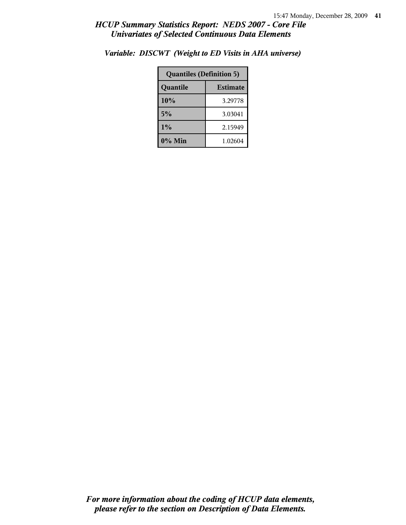| <b>Quantiles (Definition 5)</b> |         |  |
|---------------------------------|---------|--|
| <b>Estimate</b><br>Quantile     |         |  |
| 10%                             | 3.29778 |  |
| 5%                              | 3.03041 |  |
| 1%                              | 2.15949 |  |
| 0% Min                          | 1.02604 |  |

*Variable: DISCWT (Weight to ED Visits in AHA universe)*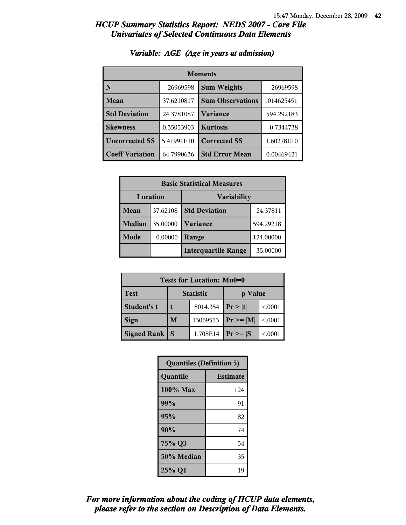| <b>Moments</b>         |            |                         |              |
|------------------------|------------|-------------------------|--------------|
| N                      | 26969598   | <b>Sum Weights</b>      | 26969598     |
| Mean                   | 37.6210817 | <b>Sum Observations</b> | 1014625451   |
| <b>Std Deviation</b>   | 24.3781087 | <b>Variance</b>         | 594.292183   |
| <b>Skewness</b>        | 0.35053903 | <b>Kurtosis</b>         | $-0.7344738$ |
| <b>Uncorrected SS</b>  | 5.41991E10 | <b>Corrected SS</b>     | 1.60278E10   |
| <b>Coeff Variation</b> | 64.7990636 | <b>Std Error Mean</b>   | 0.00469421   |

## *Variable: AGE (Age in years at admission)*

| <b>Basic Statistical Measures</b> |          |                            |           |  |
|-----------------------------------|----------|----------------------------|-----------|--|
| Location<br><b>Variability</b>    |          |                            |           |  |
| Mean                              | 37.62108 | <b>Std Deviation</b>       | 24.37811  |  |
| <b>Median</b>                     | 35.00000 | <b>Variance</b>            | 594.29218 |  |
| <b>Mode</b>                       | 0.00000  | Range                      | 124.00000 |  |
|                                   |          | <b>Interquartile Range</b> | 35.00000  |  |

| Tests for Location: Mu0=0 |                             |          |                |         |  |
|---------------------------|-----------------------------|----------|----------------|---------|--|
| <b>Test</b>               | <b>Statistic</b><br>p Value |          |                |         |  |
| Student's t               |                             | 8014.354 | Pr >  t        | < 0.001 |  |
| <b>Sign</b>               | M                           | 13069553 | $Pr \ge =  M $ | < 0.001 |  |
| Signed Rank               |                             | 1.708E14 | $Pr \geq  S $  | < 0001  |  |

| <b>Quantiles (Definition 5)</b> |                 |  |
|---------------------------------|-----------------|--|
| Quantile                        | <b>Estimate</b> |  |
| 100% Max                        | 124             |  |
| 99%                             | 91              |  |
| 95%                             | 82              |  |
| 90%                             | 74              |  |
| 75% Q3                          | 54              |  |
| 50% Median                      | 35              |  |
| 25% Q1                          | 19              |  |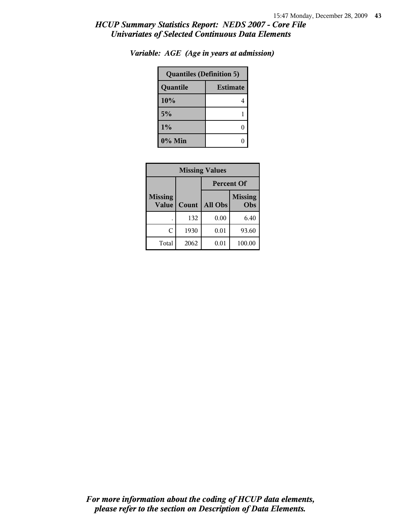| <b>Quantiles (Definition 5)</b> |  |  |
|---------------------------------|--|--|
| <b>Estimate</b><br>Quantile     |  |  |
| 10%                             |  |  |
| 5%                              |  |  |
| $1\%$                           |  |  |
| $0\%$ Min                       |  |  |

*Variable: AGE (Age in years at admission)*

| <b>Missing Values</b>          |       |                                  |        |  |
|--------------------------------|-------|----------------------------------|--------|--|
|                                |       | <b>Percent Of</b>                |        |  |
| <b>Missing</b><br><b>Value</b> | Count | <b>Missing</b><br>All Obs<br>Obs |        |  |
|                                | 132   | 0.00                             | 6.40   |  |
| C                              | 1930  | 0.01                             | 93.60  |  |
| Total                          | 2062  | 0.01                             | 100.00 |  |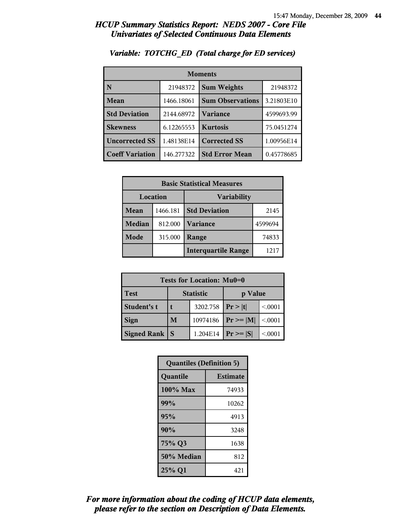| <b>Moments</b>         |            |                         |            |  |
|------------------------|------------|-------------------------|------------|--|
| N                      | 21948372   | <b>Sum Weights</b>      | 21948372   |  |
| Mean                   | 1466.18061 | <b>Sum Observations</b> | 3.21803E10 |  |
| <b>Std Deviation</b>   | 2144.68972 | Variance                | 4599693.99 |  |
| <b>Skewness</b>        | 6.12265553 | <b>Kurtosis</b>         | 75.0451274 |  |
| <b>Uncorrected SS</b>  | 1.48138E14 | <b>Corrected SS</b>     | 1.00956E14 |  |
| <b>Coeff Variation</b> | 146.277322 | <b>Std Error Mean</b>   | 0.45778685 |  |

### *Variable: TOTCHG\_ED (Total charge for ED services)*

| <b>Basic Statistical Measures</b> |          |                            |         |  |
|-----------------------------------|----------|----------------------------|---------|--|
| Location<br>Variability           |          |                            |         |  |
| Mean                              | 1466.181 | <b>Std Deviation</b>       | 2145    |  |
| Median                            | 812.000  | <b>Variance</b>            | 4599694 |  |
| <b>Mode</b>                       | 315.000  | Range                      | 74833   |  |
|                                   |          | <b>Interquartile Range</b> | 1217    |  |

| Tests for Location: Mu0=0 |                             |          |                |         |  |
|---------------------------|-----------------------------|----------|----------------|---------|--|
| <b>Test</b>               | <b>Statistic</b><br>p Value |          |                |         |  |
| Student's t               |                             | 3202.758 | Pr >  t        | < 0.001 |  |
| <b>Sign</b>               | M                           | 10974186 | $Pr \ge =  M $ | < 0.001 |  |
| <b>Signed Rank</b>        | S                           | 1.204E14 | $Pr \geq  S $  | < 0001  |  |

| <b>Quantiles (Definition 5)</b> |                 |  |
|---------------------------------|-----------------|--|
| Quantile                        | <b>Estimate</b> |  |
| 100% Max                        | 74933           |  |
| 99%                             | 10262           |  |
| 95%                             | 4913            |  |
| 90%                             | 3248            |  |
| 75% Q3                          | 1638            |  |
| 50% Median                      | 812             |  |
| 25% Q1                          | 421             |  |